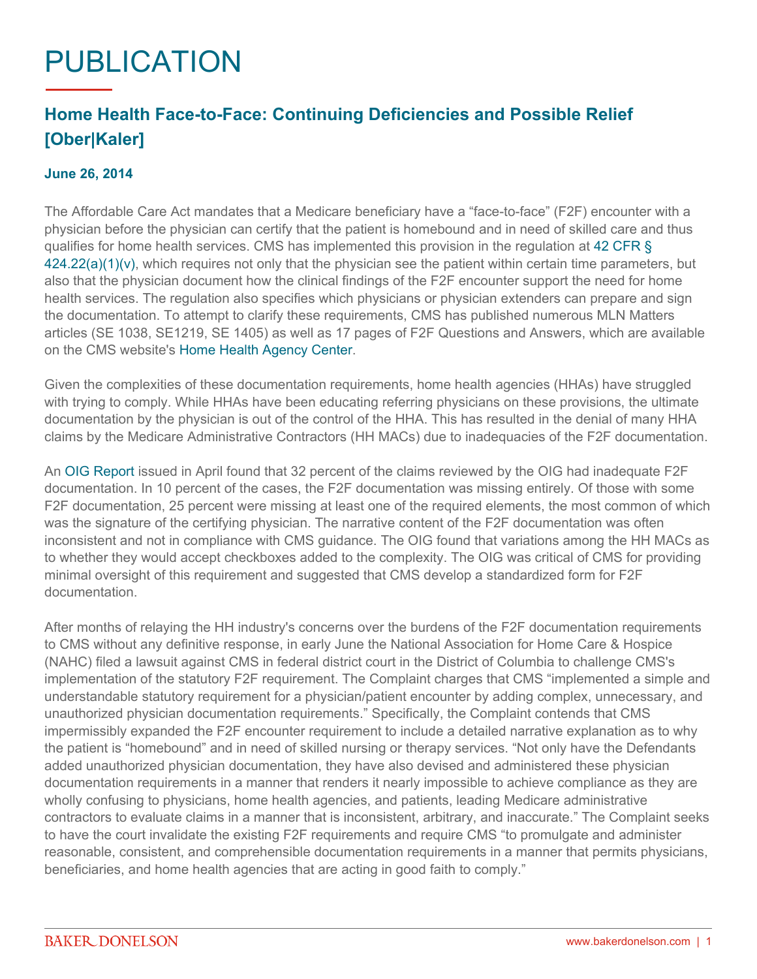## PUBLICATION

## **Home Health Face-to-Face: Continuing Deficiencies and Possible Relief [Ober|Kaler]**

## **June 26, 2014**

The Affordable Care Act mandates that a Medicare beneficiary have a "face-to-face" (F2F) encounter with a physician before the physician can certify that the patient is homebound and in need of skilled care and thus qualifies for home health services. CMS has implemented this provision in the regulation at [42 CFR §](http://www.google.com/url?sa=t&rct=j&q=&esrc=s&frm=1&source=web&cd=4&ved=0CDYQFjAD&url=http://www.gpo.gov/fdsys/pkg/CFR-2012-title42-vol3/pdf/CFR-2012-title42-vol3-sec424-22.pdf&ei=p-qqU9vhCqassQTNgYEo&usg=AFQjCNE_-UTA1tq3cNb97C4et7OW4jjGnw&bvm=bv.69620078,d.cWc)  [424.22\(a\)\(1\)\(v\)](http://www.google.com/url?sa=t&rct=j&q=&esrc=s&frm=1&source=web&cd=4&ved=0CDYQFjAD&url=http://www.gpo.gov/fdsys/pkg/CFR-2012-title42-vol3/pdf/CFR-2012-title42-vol3-sec424-22.pdf&ei=p-qqU9vhCqassQTNgYEo&usg=AFQjCNE_-UTA1tq3cNb97C4et7OW4jjGnw&bvm=bv.69620078,d.cWc), which requires not only that the physician see the patient within certain time parameters, but also that the physician document how the clinical findings of the F2F encounter support the need for home health services. The regulation also specifies which physicians or physician extenders can prepare and sign the documentation. To attempt to clarify these requirements, CMS has published numerous MLN Matters articles (SE 1038, SE1219, SE 1405) as well as 17 pages of F2F Questions and Answers, which are available on the CMS website's [Home Health Agency Center](http://www.cms.gov/Center/Provider-Type/Home-Health-Agency-HHA-Center.html).

Given the complexities of these documentation requirements, home health agencies (HHAs) have struggled with trying to comply. While HHAs have been educating referring physicians on these provisions, the ultimate documentation by the physician is out of the control of the HHA. This has resulted in the denial of many HHA claims by the Medicare Administrative Contractors (HH MACs) due to inadequacies of the F2F documentation.

An [OIG Report](http://www.google.com/url?sa=t&rct=j&q=&esrc=s&frm=1&source=web&cd=1&ved=0CB8QFjAA&url=http://oig.hhs.gov/oei/reports/OEI-01-12-00390.pdf&ei=sO-qU4XNIamysQTpx4CQBw&usg=AFQjCNGpY9nzaYu8-MRCys8-JbYNGrd1Rg&bvm=bv.69620078,d.cWc) issued in April found that 32 percent of the claims reviewed by the OIG had inadequate F2F documentation. In 10 percent of the cases, the F2F documentation was missing entirely. Of those with some F2F documentation, 25 percent were missing at least one of the required elements, the most common of which was the signature of the certifying physician. The narrative content of the F2F documentation was often inconsistent and not in compliance with CMS guidance. The OIG found that variations among the HH MACs as to whether they would accept checkboxes added to the complexity. The OIG was critical of CMS for providing minimal oversight of this requirement and suggested that CMS develop a standardized form for F2F documentation.

After months of relaying the HH industry's concerns over the burdens of the F2F documentation requirements to CMS without any definitive response, in early June the National Association for Home Care & Hospice (NAHC) filed a lawsuit against CMS in federal district court in the District of Columbia to challenge CMS's implementation of the statutory F2F requirement. The Complaint charges that CMS "implemented a simple and understandable statutory requirement for a physician/patient encounter by adding complex, unnecessary, and unauthorized physician documentation requirements." Specifically, the Complaint contends that CMS impermissibly expanded the F2F encounter requirement to include a detailed narrative explanation as to why the patient is "homebound" and in need of skilled nursing or therapy services. "Not only have the Defendants added unauthorized physician documentation, they have also devised and administered these physician documentation requirements in a manner that renders it nearly impossible to achieve compliance as they are wholly confusing to physicians, home health agencies, and patients, leading Medicare administrative contractors to evaluate claims in a manner that is inconsistent, arbitrary, and inaccurate." The Complaint seeks to have the court invalidate the existing F2F requirements and require CMS "to promulgate and administer reasonable, consistent, and comprehensible documentation requirements in a manner that permits physicians, beneficiaries, and home health agencies that are acting in good faith to comply."